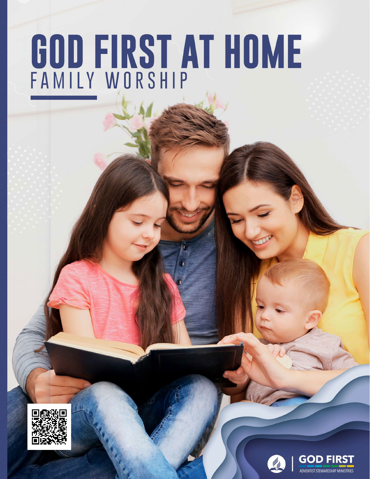# **GOD FIRST AT HOME**





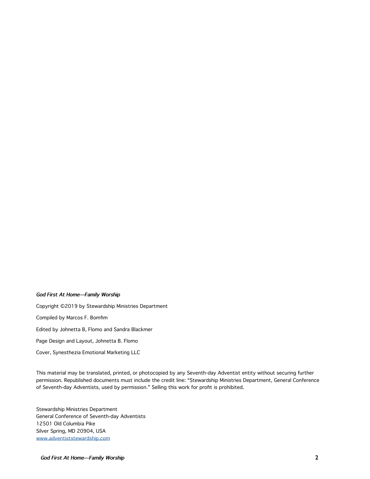#### **God First At Home—Family Worship**

Copyright ©2019 by Stewardship Ministries Department Compiled by Marcos F. Bomfim Edited by Johnetta B, Flomo and Sandra Blackmer Page Design and Layout, Johnetta B. Flomo Cover, Synesthezia Emotional Marketing LLC

This material may be translated, printed, or photocopied by any Seventh-day Adventist entity without securing further permission. Republished documents must include the credit line: "Stewardship Ministries Department, General Conference of Seventh-day Adventists, used by permission." Selling this work for profit is prohibited.

Stewardship Ministries Department General Conference of Seventh-day Adventists 12501 Old Columbia Pike Silver Spring, MD 20904, USA [www.adventiststewardship.com](http://www.adventiststewardship.com)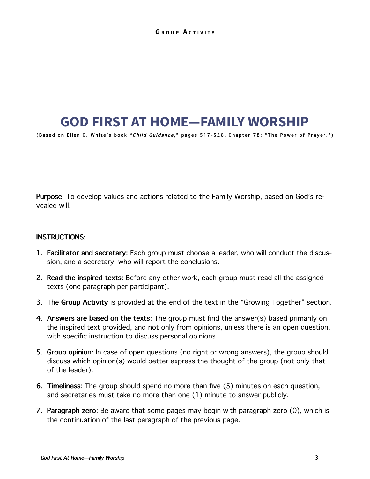## **GOD FIRST AT HOME—FAMILY WORSHIP**

**(Based on Ellen G. White's book " Child Guidance ," pages 517-526, Chapter 78: "The Power of Prayer.")**

**Purpose**: To develop values and actions related to the Family Worship, based on God's revealed will.

#### **INSTRUCTIONS:**

- **1. Facilitator and secretary**: Each group must choose a leader, who will conduct the discussion, and a secretary, who will report the conclusions.
- **2. Read the inspired texts**: Before any other work, each group must read all the assigned texts (one paragraph per participant).
- 3. The **Group Activity** is provided at the end of the text in the "Growing Together" section.
- **4. Answers are based on the texts**: The group must find the answer(s) based primarily on the inspired text provided, and not only from opinions, unless there is an open question, with specific instruction to discuss personal opinions.
- **5. Group opinio**n: In case of open questions (no right or wrong answers), the group should discuss which opinion(s) would better express the thought of the group (not only that of the leader).
- **6. Timeliness**: The group should spend no more than five (5) minutes on each question, and secretaries must take no more than one (1) minute to answer publicly.
- **7. Paragraph zero**: Be aware that some pages may begin with paragraph zero (0), which is the continuation of the last paragraph of the previous page.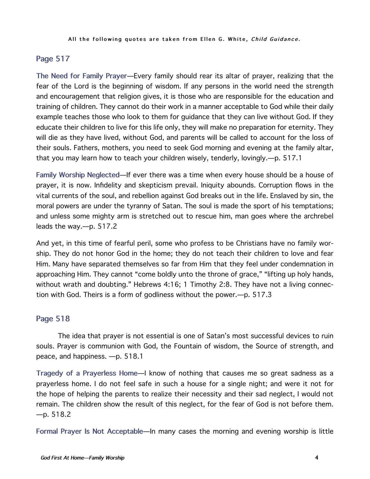#### **Page 517**

**The Need for Family Prayer**—Every family should rear its altar of prayer, realizing that the fear of the Lord is the beginning of wisdom. If any persons in the world need the strength and encouragement that religion gives, it is those who are responsible for the education and training of children. They cannot do their work in a manner acceptable to God while their daily example teaches those who look to them for guidance that they can live without God. If they educate their children to live for this life only, they will make no preparation for eternity. They will die as they have lived, without God, and parents will be called to account for the loss of their souls. Fathers, mothers, you need to seek God morning and evening at the family altar, that you may learn how to teach your children wisely, tenderly, lovingly.—p. 517.1

**Family Worship Neglected**—If ever there was a time when every house should be a house of prayer, it is now. Infidelity and skepticism prevail. Iniquity abounds. Corruption flows in the vital currents of the soul, and rebellion against God breaks out in the life. Enslaved by sin, the moral powers are under the tyranny of Satan. The soul is made the sport of his temptations; and unless some mighty arm is stretched out to rescue him, man goes where the archrebel leads the way.—p. 517.2

And yet, in this time of fearful peril, some who profess to be Christians have no family worship. They do not honor God in the home; they do not teach their children to love and fear Him. Many have separated themselves so far from Him that they feel under condemnation in approaching Him. They cannot "come boldly unto the throne of grace," "lifting up holy hands, without wrath and doubting." Hebrews 4:16; 1 Timothy 2:8. They have not a living connection with God. Theirs is a form of godliness without the power.—p. 517.3

## **Page 518**

The idea that prayer is not essential is one of Satan's most successful devices to ruin souls. Prayer is communion with God, the Fountain of wisdom, the Source of strength, and peace, and happiness. —p. 518.1

**Tragedy of a Prayerless Home**—I know of nothing that causes me so great sadness as a prayerless home. I do not feel safe in such a house for a single night; and were it not for the hope of helping the parents to realize their necessity and their sad neglect, I would not remain. The children show the result of this neglect, for the fear of God is not before them.  $-p.518.2$ 

**Formal Prayer Is Not Acceptable**—In many cases the morning and evening worship is little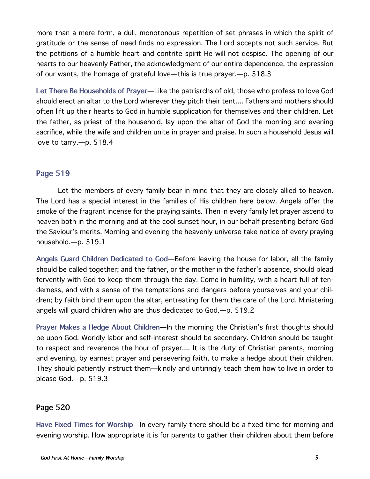more than a mere form, a dull, monotonous repetition of set phrases in which the spirit of gratitude or the sense of need finds no expression. The Lord accepts not such service. But the petitions of a humble heart and contrite spirit He will not despise. The opening of our hearts to our heavenly Father, the acknowledgment of our entire dependence, the expression of our wants, the homage of grateful love—this is true prayer.—p. 518.3

**Let There Be Households of Prayer**—Like the patriarchs of old, those who profess to love God should erect an altar to the Lord wherever they pitch their tent.... Fathers and mothers should often lift up their hearts to God in humble supplication for themselves and their children. Let the father, as priest of the household, lay upon the altar of God the morning and evening sacrifice, while the wife and children unite in prayer and praise. In such a household Jesus will love to tarry.—p. 518.4

#### **Page 519**

Let the members of every family bear in mind that they are closely allied to heaven. The Lord has a special interest in the families of His children here below. Angels offer the smoke of the fragrant incense for the praying saints. Then in every family let prayer ascend to heaven both in the morning and at the cool sunset hour, in our behalf presenting before God the Saviour's merits. Morning and evening the heavenly universe take notice of every praying household.—p. 519.1

**Angels Guard Children Dedicated to God**—Before leaving the house for labor, all the family should be called together; and the father, or the mother in the father's absence, should plead fervently with God to keep them through the day. Come in humility, with a heart full of tenderness, and with a sense of the temptations and dangers before yourselves and your children; by faith bind them upon the altar, entreating for them the care of the Lord. Ministering angels will guard children who are thus dedicated to God.—p. 519.2

**Prayer Makes a Hedge About Children**—In the morning the Christian's first thoughts should be upon God. Worldly labor and self-interest should be secondary. Children should be taught to respect and reverence the hour of prayer.... It is the duty of Christian parents, morning and evening, by earnest prayer and persevering faith, to make a hedge about their children. They should patiently instruct them—kindly and untiringly teach them how to live in order to please God.—p. 519.3

#### **Page 520**

**Have Fixed Times for Worship**—In every family there should be a fixed time for morning and evening worship. How appropriate it is for parents to gather their children about them before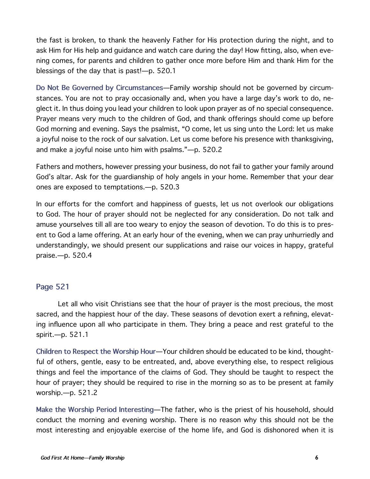the fast is broken, to thank the heavenly Father for His protection during the night, and to ask Him for His help and guidance and watch care during the day! How fitting, also, when evening comes, for parents and children to gather once more before Him and thank Him for the blessings of the day that is past!—p. 520.1

**Do Not Be Governed by Circumstances**—Family worship should not be governed by circumstances. You are not to pray occasionally and, when you have a large day's work to do, neglect it. In thus doing you lead your children to look upon prayer as of no special consequence. Prayer means very much to the children of God, and thank offerings should come up before God morning and evening. Says the psalmist, "O come, let us sing unto the Lord: let us make a joyful noise to the rock of our salvation. Let us come before his presence with thanksgiving, and make a joyful noise unto him with psalms."—p. 520.2

Fathers and mothers, however pressing your business, do not fail to gather your family around God's altar. Ask for the guardianship of holy angels in your home. Remember that your dear ones are exposed to temptations.—p. 520.3

In our efforts for the comfort and happiness of guests, let us not overlook our obligations to God. The hour of prayer should not be neglected for any consideration. Do not talk and amuse yourselves till all are too weary to enjoy the season of devotion. To do this is to present to God a lame offering. At an early hour of the evening, when we can pray unhurriedly and understandingly, we should present our supplications and raise our voices in happy, grateful praise.—p. 520.4

#### **Page 521**

Let all who visit Christians see that the hour of prayer is the most precious, the most sacred, and the happiest hour of the day. These seasons of devotion exert a refining, elevating influence upon all who participate in them. They bring a peace and rest grateful to the spirit.—p. 521.1

**Children to Respect the Worship Hour**—Your children should be educated to be kind, thoughtful of others, gentle, easy to be entreated, and, above everything else, to respect religious things and feel the importance of the claims of God. They should be taught to respect the hour of prayer; they should be required to rise in the morning so as to be present at family worship.—p. 521.2

**Make the Worship Period Interesting**—The father, who is the priest of his household, should conduct the morning and evening worship. There is no reason why this should not be the most interesting and enjoyable exercise of the home life, and God is dishonored when it is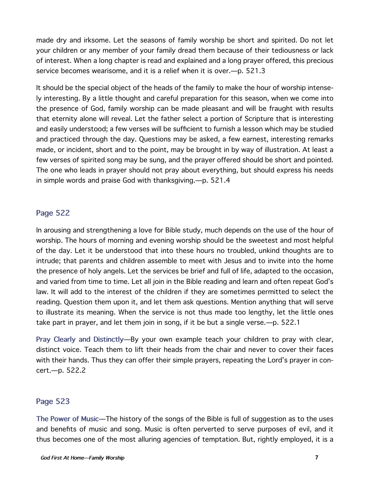made dry and irksome. Let the seasons of family worship be short and spirited. Do not let your children or any member of your family dread them because of their tediousness or lack of interest. When a long chapter is read and explained and a long prayer offered, this precious service becomes wearisome, and it is a relief when it is over.—p. 521.3

It should be the special object of the heads of the family to make the hour of worship intensely interesting. By a little thought and careful preparation for this season, when we come into the presence of God, family worship can be made pleasant and will be fraught with results that eternity alone will reveal. Let the father select a portion of Scripture that is interesting and easily understood; a few verses will be sufficient to furnish a lesson which may be studied and practiced through the day. Questions may be asked, a few earnest, interesting remarks made, or incident, short and to the point, may be brought in by way of illustration. At least a few verses of spirited song may be sung, and the prayer offered should be short and pointed. The one who leads in prayer should not pray about everything, but should express his needs in simple words and praise God with thanksgiving.—p. 521.4

#### **Page 522**

In arousing and strengthening a love for Bible study, much depends on the use of the hour of worship. The hours of morning and evening worship should be the sweetest and most helpful of the day. Let it be understood that into these hours no troubled, unkind thoughts are to intrude; that parents and children assemble to meet with Jesus and to invite into the home the presence of holy angels. Let the services be brief and full of life, adapted to the occasion, and varied from time to time. Let all join in the Bible reading and learn and often repeat God's law. It will add to the interest of the children if they are sometimes permitted to select the reading. Question them upon it, and let them ask questions. Mention anything that will serve to illustrate its meaning. When the service is not thus made too lengthy, let the little ones take part in prayer, and let them join in song, if it be but a single verse.—p. 522.1

**Pray Clearly and Distinctly**—By your own example teach your children to pray with clear, distinct voice. Teach them to lift their heads from the chair and never to cover their faces with their hands. Thus they can offer their simple prayers, repeating the Lord's prayer in concert.—p. 522.2

#### **Page 523**

**The Power of Music**—The history of the songs of the Bible is full of suggestion as to the uses and benefits of music and song. Music is often perverted to serve purposes of evil, and it thus becomes one of the most alluring agencies of temptation. But, rightly employed, it is a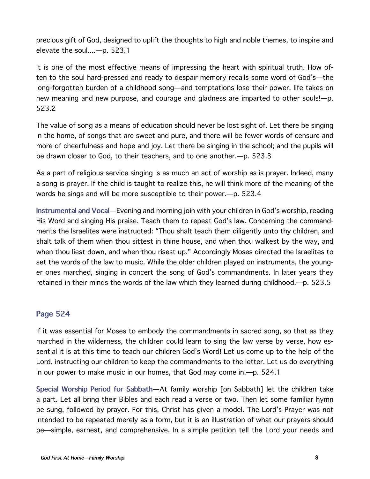precious gift of God, designed to uplift the thoughts to high and noble themes, to inspire and elevate the soul....—p. 523.1

It is one of the most effective means of impressing the heart with spiritual truth. How often to the soul hard-pressed and ready to despair memory recalls some word of God's—the long-forgotten burden of a childhood song—and temptations lose their power, life takes on new meaning and new purpose, and courage and gladness are imparted to other souls!—p. 523.2

The value of song as a means of education should never be lost sight of. Let there be singing in the home, of songs that are sweet and pure, and there will be fewer words of censure and more of cheerfulness and hope and joy. Let there be singing in the school; and the pupils will be drawn closer to God, to their teachers, and to one another.—p. 523.3

As a part of religious service singing is as much an act of worship as is prayer. Indeed, many a song is prayer. If the child is taught to realize this, he will think more of the meaning of the words he sings and will be more susceptible to their power.—p. 523.4

**Instrumental and Vocal**—Evening and morning join with your children in God's worship, reading His Word and singing His praise. Teach them to repeat God's law. Concerning the commandments the Israelites were instructed: "Thou shalt teach them diligently unto thy children, and shalt talk of them when thou sittest in thine house, and when thou walkest by the way, and when thou liest down, and when thou risest up." Accordingly Moses directed the Israelites to set the words of the law to music. While the older children played on instruments, the younger ones marched, singing in concert the song of God's commandments. In later years they retained in their minds the words of the law which they learned during childhood.—p. 523.5

#### **Page 524**

If it was essential for Moses to embody the commandments in sacred song, so that as they marched in the wilderness, the children could learn to sing the law verse by verse, how essential it is at this time to teach our children God's Word! Let us come up to the help of the Lord, instructing our children to keep the commandments to the letter. Let us do everything in our power to make music in our homes, that God may come in.—p. 524.1

**Special Worship Period for Sabbath**—At family worship [on Sabbath] let the children take a part. Let all bring their Bibles and each read a verse or two. Then let some familiar hymn be sung, followed by prayer. For this, Christ has given a model. The Lord's Prayer was not intended to be repeated merely as a form, but it is an illustration of what our prayers should be—simple, earnest, and comprehensive. In a simple petition tell the Lord your needs and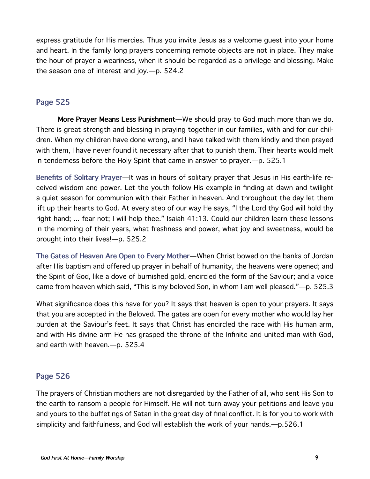express gratitude for His mercies. Thus you invite Jesus as a welcome guest into your home and heart. In the family long prayers concerning remote objects are not in place. They make the hour of prayer a weariness, when it should be regarded as a privilege and blessing. Make the season one of interest and joy.—p. 524.2

#### **Page 525**

**More Prayer Means Less Punishment**—We should pray to God much more than we do. There is great strength and blessing in praying together in our families, with and for our children. When my children have done wrong, and I have talked with them kindly and then prayed with them, I have never found it necessary after that to punish them. Their hearts would melt in tenderness before the Holy Spirit that came in answer to prayer.—p. 525.1

**Benefits of Solitary Prayer**—It was in hours of solitary prayer that Jesus in His earth-life received wisdom and power. Let the youth follow His example in finding at dawn and twilight a quiet season for communion with their Father in heaven. And throughout the day let them lift up their hearts to God. At every step of our way He says, "I the Lord thy God will hold thy right hand; ... fear not; I will help thee." Isaiah 41:13. Could our children learn these lessons in the morning of their years, what freshness and power, what joy and sweetness, would be brought into their lives!—p. 525.2

**The Gates of Heaven Are Open to Every Mother**—When Christ bowed on the banks of Jordan after His baptism and offered up prayer in behalf of humanity, the heavens were opened; and the Spirit of God, like a dove of burnished gold, encircled the form of the Saviour; and a voice came from heaven which said, "This is my beloved Son, in whom I am well pleased."—p. 525.3

What significance does this have for you? It says that heaven is open to your prayers. It says that you are accepted in the Beloved. The gates are open for every mother who would lay her burden at the Saviour's feet. It says that Christ has encircled the race with His human arm, and with His divine arm He has grasped the throne of the Infinite and united man with God, and earth with heaven.—p. 525.4

## **Page 526**

The prayers of Christian mothers are not disregarded by the Father of all, who sent His Son to the earth to ransom a people for Himself. He will not turn away your petitions and leave you and yours to the buffetings of Satan in the great day of final conflict. It is for you to work with simplicity and faithfulness, and God will establish the work of your hands.—p.526.1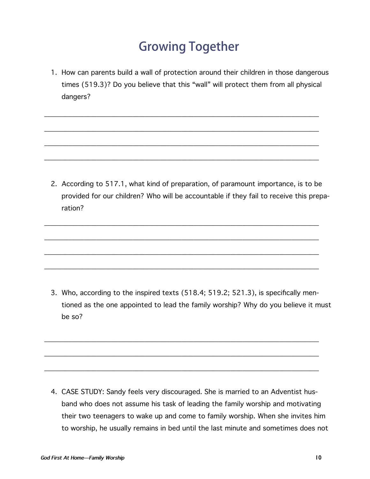# **Growing Together**

1. How can parents build a wall of protection around their children in those dangerous times (519.3)? Do you believe that this "wall" will protect them from all physical dangers?

\_\_\_\_\_\_\_\_\_\_\_\_\_\_\_\_\_\_\_\_\_\_\_\_\_\_\_\_\_\_\_\_\_\_\_\_\_\_\_\_\_\_\_\_\_\_\_\_\_\_\_\_\_\_\_\_\_\_\_\_\_\_\_\_\_\_\_\_\_\_\_\_\_\_\_\_\_\_\_\_\_\_\_\_\_\_\_\_\_\_

\_\_\_\_\_\_\_\_\_\_\_\_\_\_\_\_\_\_\_\_\_\_\_\_\_\_\_\_\_\_\_\_\_\_\_\_\_\_\_\_\_\_\_\_\_\_\_\_\_\_\_\_\_\_\_\_\_\_\_\_\_\_\_\_\_\_\_\_\_\_\_\_\_\_\_\_\_\_\_\_\_\_\_\_\_\_\_\_\_\_

\_\_\_\_\_\_\_\_\_\_\_\_\_\_\_\_\_\_\_\_\_\_\_\_\_\_\_\_\_\_\_\_\_\_\_\_\_\_\_\_\_\_\_\_\_\_\_\_\_\_\_\_\_\_\_\_\_\_\_\_\_\_\_\_\_\_\_\_\_\_\_\_\_\_\_\_\_\_\_\_\_\_\_\_\_\_\_\_\_\_

\_\_\_\_\_\_\_\_\_\_\_\_\_\_\_\_\_\_\_\_\_\_\_\_\_\_\_\_\_\_\_\_\_\_\_\_\_\_\_\_\_\_\_\_\_\_\_\_\_\_\_\_\_\_\_\_\_\_\_\_\_\_\_\_\_\_\_\_\_\_\_\_\_\_\_\_\_\_\_\_\_\_\_\_\_\_\_\_\_\_

\_\_\_\_\_\_\_\_\_\_\_\_\_\_\_\_\_\_\_\_\_\_\_\_\_\_\_\_\_\_\_\_\_\_\_\_\_\_\_\_\_\_\_\_\_\_\_\_\_\_\_\_\_\_\_\_\_\_\_\_\_\_\_\_\_\_\_\_\_\_\_\_\_\_\_\_\_\_\_\_\_\_\_\_\_\_\_\_\_\_

\_\_\_\_\_\_\_\_\_\_\_\_\_\_\_\_\_\_\_\_\_\_\_\_\_\_\_\_\_\_\_\_\_\_\_\_\_\_\_\_\_\_\_\_\_\_\_\_\_\_\_\_\_\_\_\_\_\_\_\_\_\_\_\_\_\_\_\_\_\_\_\_\_\_\_\_\_\_\_\_\_\_\_\_\_\_\_\_\_\_

\_\_\_\_\_\_\_\_\_\_\_\_\_\_\_\_\_\_\_\_\_\_\_\_\_\_\_\_\_\_\_\_\_\_\_\_\_\_\_\_\_\_\_\_\_\_\_\_\_\_\_\_\_\_\_\_\_\_\_\_\_\_\_\_\_\_\_\_\_\_\_\_\_\_\_\_\_\_\_\_\_\_\_\_\_\_\_\_\_\_

\_\_\_\_\_\_\_\_\_\_\_\_\_\_\_\_\_\_\_\_\_\_\_\_\_\_\_\_\_\_\_\_\_\_\_\_\_\_\_\_\_\_\_\_\_\_\_\_\_\_\_\_\_\_\_\_\_\_\_\_\_\_\_\_\_\_\_\_\_\_\_\_\_\_\_\_\_\_\_\_\_\_\_\_\_\_\_\_\_\_

\_\_\_\_\_\_\_\_\_\_\_\_\_\_\_\_\_\_\_\_\_\_\_\_\_\_\_\_\_\_\_\_\_\_\_\_\_\_\_\_\_\_\_\_\_\_\_\_\_\_\_\_\_\_\_\_\_\_\_\_\_\_\_\_\_\_\_\_\_\_\_\_\_\_\_\_\_\_\_\_\_\_\_\_\_\_\_\_\_\_

\_\_\_\_\_\_\_\_\_\_\_\_\_\_\_\_\_\_\_\_\_\_\_\_\_\_\_\_\_\_\_\_\_\_\_\_\_\_\_\_\_\_\_\_\_\_\_\_\_\_\_\_\_\_\_\_\_\_\_\_\_\_\_\_\_\_\_\_\_\_\_\_\_\_\_\_\_\_\_\_\_\_\_\_\_\_\_\_\_\_

\_\_\_\_\_\_\_\_\_\_\_\_\_\_\_\_\_\_\_\_\_\_\_\_\_\_\_\_\_\_\_\_\_\_\_\_\_\_\_\_\_\_\_\_\_\_\_\_\_\_\_\_\_\_\_\_\_\_\_\_\_\_\_\_\_\_\_\_\_\_\_\_\_\_\_\_\_\_\_\_\_\_\_\_\_\_\_\_\_\_

2. According to 517.1, what kind of preparation, of paramount importance, is to be provided for our children? Who will be accountable if they fail to receive this preparation?

3. Who, according to the inspired texts (518.4; 519.2; 521.3), is specifically mentioned as the one appointed to lead the family worship? Why do you believe it must be so?

4. CASE STUDY: Sandy feels very discouraged. She is married to an Adventist husband who does not assume his task of leading the family worship and motivating their two teenagers to wake up and come to family worship. When she invites him to worship, he usually remains in bed until the last minute and sometimes does not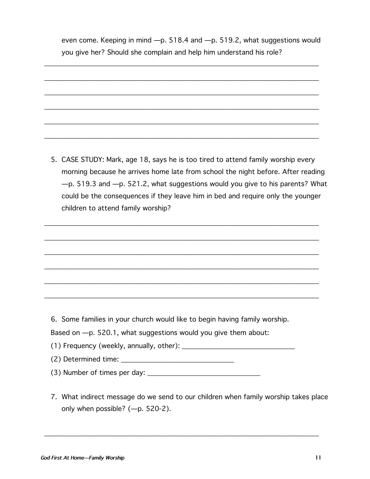even come. Keeping in mind —p. 518.4 and —p. 519.2, what suggestions would you give her? Should she complain and help him understand his role?

\_\_\_\_\_\_\_\_\_\_\_\_\_\_\_\_\_\_\_\_\_\_\_\_\_\_\_\_\_\_\_\_\_\_\_\_\_\_\_\_\_\_\_\_\_\_\_\_\_\_\_\_\_\_\_\_\_\_\_\_\_\_\_\_\_\_\_\_\_\_\_\_\_\_\_\_\_\_\_\_\_\_\_\_\_\_\_\_\_\_

\_\_\_\_\_\_\_\_\_\_\_\_\_\_\_\_\_\_\_\_\_\_\_\_\_\_\_\_\_\_\_\_\_\_\_\_\_\_\_\_\_\_\_\_\_\_\_\_\_\_\_\_\_\_\_\_\_\_\_\_\_\_\_\_\_\_\_\_\_\_\_\_\_\_\_\_\_\_\_\_\_\_\_\_\_\_\_\_\_\_

\_\_\_\_\_\_\_\_\_\_\_\_\_\_\_\_\_\_\_\_\_\_\_\_\_\_\_\_\_\_\_\_\_\_\_\_\_\_\_\_\_\_\_\_\_\_\_\_\_\_\_\_\_\_\_\_\_\_\_\_\_\_\_\_\_\_\_\_\_\_\_\_\_\_\_\_\_\_\_\_\_\_\_\_\_\_\_\_\_\_

- \_\_\_\_\_\_\_\_\_\_\_\_\_\_\_\_\_\_\_\_\_\_\_\_\_\_\_\_\_\_\_\_\_\_\_\_\_\_\_\_\_\_\_\_\_\_\_\_\_\_\_\_\_\_\_\_\_\_\_\_\_\_\_\_\_\_\_\_\_\_\_\_\_\_\_\_\_\_\_\_\_\_\_\_\_\_\_\_\_\_ \_\_\_\_\_\_\_\_\_\_\_\_\_\_\_\_\_\_\_\_\_\_\_\_\_\_\_\_\_\_\_\_\_\_\_\_\_\_\_\_\_\_\_\_\_\_\_\_\_\_\_\_\_\_\_\_\_\_\_\_\_\_\_\_\_\_\_\_\_\_\_\_\_\_\_\_\_\_\_\_\_\_\_\_\_\_\_\_\_\_ \_\_\_\_\_\_\_\_\_\_\_\_\_\_\_\_\_\_\_\_\_\_\_\_\_\_\_\_\_\_\_\_\_\_\_\_\_\_\_\_\_\_\_\_\_\_\_\_\_\_\_\_\_\_\_\_\_\_\_\_\_\_\_\_\_\_\_\_\_\_\_\_\_\_\_\_\_\_\_\_\_\_\_\_\_\_\_\_\_\_ 5. CASE STUDY: Mark, age 18, says he is too tired to attend family worship every morning because he arrives home late from school the night before. After reading —p. 519.3 and —p. 521.2, what suggestions would you give to his parents? What
	- could be the consequences if they leave him in bed and require only the younger children to attend family worship?

\_\_\_\_\_\_\_\_\_\_\_\_\_\_\_\_\_\_\_\_\_\_\_\_\_\_\_\_\_\_\_\_\_\_\_\_\_\_\_\_\_\_\_\_\_\_\_\_\_\_\_\_\_\_\_\_\_\_\_\_\_\_\_\_\_\_\_\_\_\_\_\_\_\_\_\_\_\_\_\_\_\_\_\_\_\_\_\_\_\_

\_\_\_\_\_\_\_\_\_\_\_\_\_\_\_\_\_\_\_\_\_\_\_\_\_\_\_\_\_\_\_\_\_\_\_\_\_\_\_\_\_\_\_\_\_\_\_\_\_\_\_\_\_\_\_\_\_\_\_\_\_\_\_\_\_\_\_\_\_\_\_\_\_\_\_\_\_\_\_\_\_\_\_\_\_\_\_\_\_\_

\_\_\_\_\_\_\_\_\_\_\_\_\_\_\_\_\_\_\_\_\_\_\_\_\_\_\_\_\_\_\_\_\_\_\_\_\_\_\_\_\_\_\_\_\_\_\_\_\_\_\_\_\_\_\_\_\_\_\_\_\_\_\_\_\_\_\_\_\_\_\_\_\_\_\_\_\_\_\_\_\_\_\_\_\_\_\_\_\_\_

\_\_\_\_\_\_\_\_\_\_\_\_\_\_\_\_\_\_\_\_\_\_\_\_\_\_\_\_\_\_\_\_\_\_\_\_\_\_\_\_\_\_\_\_\_\_\_\_\_\_\_\_\_\_\_\_\_\_\_\_\_\_\_\_\_\_\_\_\_\_\_\_\_\_\_\_\_\_\_\_\_\_\_\_\_\_\_\_\_\_

\_\_\_\_\_\_\_\_\_\_\_\_\_\_\_\_\_\_\_\_\_\_\_\_\_\_\_\_\_\_\_\_\_\_\_\_\_\_\_\_\_\_\_\_\_\_\_\_\_\_\_\_\_\_\_\_\_\_\_\_\_\_\_\_\_\_\_\_\_\_\_\_\_\_\_\_\_\_\_\_\_\_\_\_\_\_\_\_\_\_

\_\_\_\_\_\_\_\_\_\_\_\_\_\_\_\_\_\_\_\_\_\_\_\_\_\_\_\_\_\_\_\_\_\_\_\_\_\_\_\_\_\_\_\_\_\_\_\_\_\_\_\_\_\_\_\_\_\_\_\_\_\_\_\_\_\_\_\_\_\_\_\_\_\_\_\_\_\_\_\_\_\_\_\_\_\_\_\_\_\_

6. Some families in your church would like to begin having family worship.

Based on —p. 520.1, what suggestions would you give them about:

(1) Frequency (weekly, annually, other):  $\frac{1}{2}$  and  $\frac{1}{2}$  and  $\frac{1}{2}$  and  $\frac{1}{2}$  and  $\frac{1}{2}$  and  $\frac{1}{2}$  and  $\frac{1}{2}$  and  $\frac{1}{2}$  and  $\frac{1}{2}$  and  $\frac{1}{2}$  and  $\frac{1}{2}$  and  $\frac{1}{2}$  and  $\frac{1}{2}$  an

- (2) Determined time: \_\_\_\_\_\_\_\_\_\_\_\_\_\_\_\_\_\_\_\_\_\_\_\_\_\_\_\_\_\_\_\_\_\_\_\_\_
- $(3)$  Number of times per day:  $\qquad \qquad$
- 7. What indirect message do we send to our children when family worship takes place only when possible? (—p. 520-2).

\_\_\_\_\_\_\_\_\_\_\_\_\_\_\_\_\_\_\_\_\_\_\_\_\_\_\_\_\_\_\_\_\_\_\_\_\_\_\_\_\_\_\_\_\_\_\_\_\_\_\_\_\_\_\_\_\_\_\_\_\_\_\_\_\_\_\_\_\_\_\_\_\_\_\_\_\_\_\_\_\_\_\_\_\_\_\_\_\_\_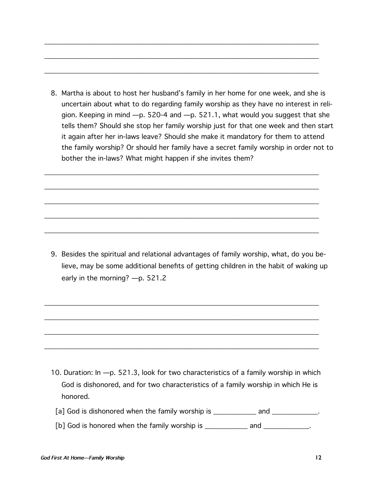8. Martha is about to host her husband's family in her home for one week, and she is uncertain about what to do regarding family worship as they have no interest in religion. Keeping in mind —p. 520-4 and —p. 521.1, what would you suggest that she tells them? Should she stop her family worship just for that one week and then start it again after her in-laws leave? Should she make it mandatory for them to attend the family worship? Or should her family have a secret family worship in order not to bother the in-laws? What might happen if she invites them?

\_\_\_\_\_\_\_\_\_\_\_\_\_\_\_\_\_\_\_\_\_\_\_\_\_\_\_\_\_\_\_\_\_\_\_\_\_\_\_\_\_\_\_\_\_\_\_\_\_\_\_\_\_\_\_\_\_\_\_\_\_\_\_\_\_\_\_\_\_\_\_\_\_\_\_\_\_\_\_\_\_\_\_\_\_\_\_\_\_\_

\_\_\_\_\_\_\_\_\_\_\_\_\_\_\_\_\_\_\_\_\_\_\_\_\_\_\_\_\_\_\_\_\_\_\_\_\_\_\_\_\_\_\_\_\_\_\_\_\_\_\_\_\_\_\_\_\_\_\_\_\_\_\_\_\_\_\_\_\_\_\_\_\_\_\_\_\_\_\_\_\_\_\_\_\_\_\_\_\_\_

\_\_\_\_\_\_\_\_\_\_\_\_\_\_\_\_\_\_\_\_\_\_\_\_\_\_\_\_\_\_\_\_\_\_\_\_\_\_\_\_\_\_\_\_\_\_\_\_\_\_\_\_\_\_\_\_\_\_\_\_\_\_\_\_\_\_\_\_\_\_\_\_\_\_\_\_\_\_\_\_\_\_\_\_\_\_\_\_\_\_

\_\_\_\_\_\_\_\_\_\_\_\_\_\_\_\_\_\_\_\_\_\_\_\_\_\_\_\_\_\_\_\_\_\_\_\_\_\_\_\_\_\_\_\_\_\_\_\_\_\_\_\_\_\_\_\_\_\_\_\_\_\_\_\_\_\_\_\_\_\_\_\_\_\_\_\_\_\_\_\_\_\_\_\_\_\_\_\_\_\_

\_\_\_\_\_\_\_\_\_\_\_\_\_\_\_\_\_\_\_\_\_\_\_\_\_\_\_\_\_\_\_\_\_\_\_\_\_\_\_\_\_\_\_\_\_\_\_\_\_\_\_\_\_\_\_\_\_\_\_\_\_\_\_\_\_\_\_\_\_\_\_\_\_\_\_\_\_\_\_\_\_\_\_\_\_\_\_\_\_\_

\_\_\_\_\_\_\_\_\_\_\_\_\_\_\_\_\_\_\_\_\_\_\_\_\_\_\_\_\_\_\_\_\_\_\_\_\_\_\_\_\_\_\_\_\_\_\_\_\_\_\_\_\_\_\_\_\_\_\_\_\_\_\_\_\_\_\_\_\_\_\_\_\_\_\_\_\_\_\_\_\_\_\_\_\_\_\_\_\_\_

\_\_\_\_\_\_\_\_\_\_\_\_\_\_\_\_\_\_\_\_\_\_\_\_\_\_\_\_\_\_\_\_\_\_\_\_\_\_\_\_\_\_\_\_\_\_\_\_\_\_\_\_\_\_\_\_\_\_\_\_\_\_\_\_\_\_\_\_\_\_\_\_\_\_\_\_\_\_\_\_\_\_\_\_\_\_\_\_\_\_

\_\_\_\_\_\_\_\_\_\_\_\_\_\_\_\_\_\_\_\_\_\_\_\_\_\_\_\_\_\_\_\_\_\_\_\_\_\_\_\_\_\_\_\_\_\_\_\_\_\_\_\_\_\_\_\_\_\_\_\_\_\_\_\_\_\_\_\_\_\_\_\_\_\_\_\_\_\_\_\_\_\_\_\_\_\_\_\_\_\_

\_\_\_\_\_\_\_\_\_\_\_\_\_\_\_\_\_\_\_\_\_\_\_\_\_\_\_\_\_\_\_\_\_\_\_\_\_\_\_\_\_\_\_\_\_\_\_\_\_\_\_\_\_\_\_\_\_\_\_\_\_\_\_\_\_\_\_\_\_\_\_\_\_\_\_\_\_\_\_\_\_\_\_\_\_\_\_\_\_\_

\_\_\_\_\_\_\_\_\_\_\_\_\_\_\_\_\_\_\_\_\_\_\_\_\_\_\_\_\_\_\_\_\_\_\_\_\_\_\_\_\_\_\_\_\_\_\_\_\_\_\_\_\_\_\_\_\_\_\_\_\_\_\_\_\_\_\_\_\_\_\_\_\_\_\_\_\_\_\_\_\_\_\_\_\_\_\_\_\_\_

\_\_\_\_\_\_\_\_\_\_\_\_\_\_\_\_\_\_\_\_\_\_\_\_\_\_\_\_\_\_\_\_\_\_\_\_\_\_\_\_\_\_\_\_\_\_\_\_\_\_\_\_\_\_\_\_\_\_\_\_\_\_\_\_\_\_\_\_\_\_\_\_\_\_\_\_\_\_\_\_\_\_\_\_\_\_\_\_\_\_

\_\_\_\_\_\_\_\_\_\_\_\_\_\_\_\_\_\_\_\_\_\_\_\_\_\_\_\_\_\_\_\_\_\_\_\_\_\_\_\_\_\_\_\_\_\_\_\_\_\_\_\_\_\_\_\_\_\_\_\_\_\_\_\_\_\_\_\_\_\_\_\_\_\_\_\_\_\_\_\_\_\_\_\_\_\_\_\_\_\_

9. Besides the spiritual and relational advantages of family worship, what, do you believe, may be some additional benefits of getting children in the habit of waking up early in the morning? —p. 521.2

- 10. Duration: In —p. 521.3, look for two characteristics of a family worship in which God is dishonored, and for two characteristics of a family worship in which He is honored.
	- [a] God is dishonored when the family worship is \_\_\_\_\_\_\_\_\_\_\_\_ and \_\_\_\_\_\_\_\_\_\_\_\_.
	- [b] God is honored when the family worship is each and contact and  $\blacksquare$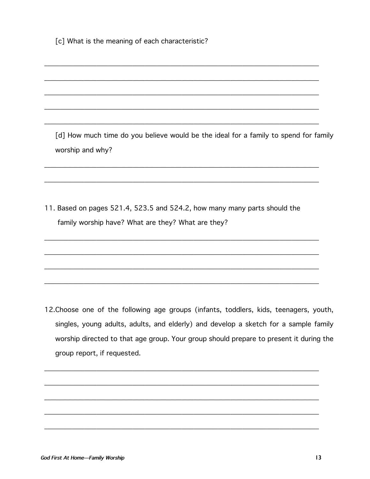[c] What is the meaning of each characteristic?

[d] How much time do you believe would be the ideal for a family to spend for family worship and why?

11. Based on pages 521.4, 523.5 and 524.2, how many many parts should the family worship have? What are they? What are they?

12. Choose one of the following age groups (infants, toddlers, kids, teenagers, youth, singles, young adults, adults, and elderly) and develop a sketch for a sample family worship directed to that age group. Your group should prepare to present it during the group report, if requested.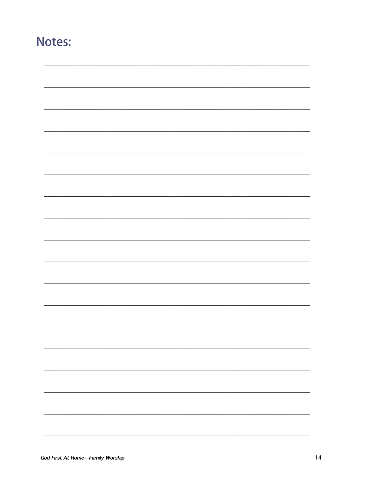## Notes: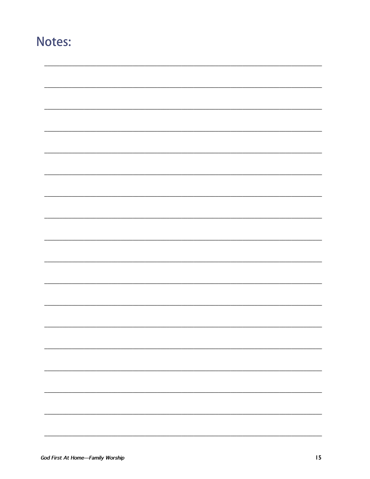## Notes: